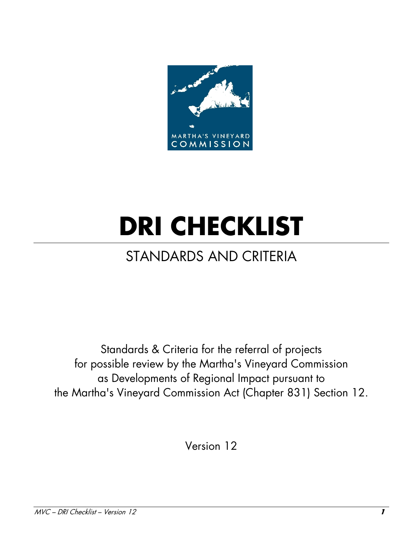

# **DRI CHECKLIST**

# STANDARDS AND CRITERIA

Standards & Criteria for the referral of projects for possible review by the Martha's Vineyard Commission as Developments of Regional Impact pursuant to the Martha's Vineyard Commission Act (Chapter 831) Section 12.

Version 12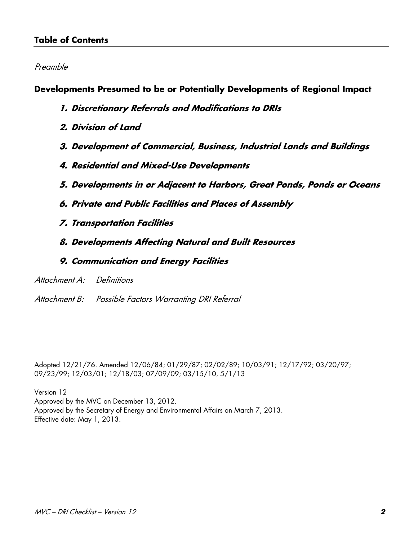#### **Table of Contents**

#### Preamble

**Developments Presumed to be or Potentially Developments of Regional Impact** 

- **1. Discretionary Referrals and Modifications to DRIs**
- **2. Division of Land**
- **3. Development of Commercial, Business, Industrial Lands and Buildings**
- **4. Residential and Mixed-Use Developments**
- **5. Developments in or Adjacent to Harbors, Great Ponds, Ponds or Oceans**
- **6. Private and Public Facilities and Places of Assembly**
- **7. Transportation Facilities**
- **8. Developments Affecting Natural and Built Resources**
- **9. Communication and Energy Facilities**
- Attachment A: Definitions
- Attachment B: Possible Factors Warranting DRI Referral

Adopted 12/21/76. Amended 12/06/84; 01/29/87; 02/02/89; 10/03/91; 12/17/92; 03/20/97; 09/23/99; 12/03/01; 12/18/03; 07/09/09; 03/15/10, 5/1/13

Version 12

Approved by the MVC on December 13, 2012. Approved by the Secretary of Energy and Environmental Affairs on March 7, 2013. Effective date: May 1, 2013.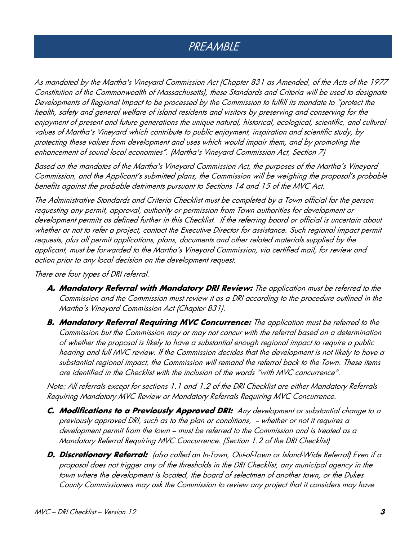## PREAMBLE

As mandated by the Martha's Vineyard Commission Act (Chapter 831 as Amended, of the Acts of the 1977 Constitution of the Commonwealth of Massachusetts), these Standards and Criteria will be used to designate Developments of Regional Impact to be processed by the Commission to fulfill its mandate to "protect the health, safety and general welfare of island residents and visitors by preserving and conserving for the enjoyment of present and future generations the unique natural, historical, ecological, scientific, and cultural values of Martha's Vineyard which contribute to public enjoyment, inspiration and scientific study, by protecting these values from development and uses which would impair them, and by promoting the enhancement of sound local economies". (Martha's Vineyard Commission Act, Section 7)

Based on the mandates of the Martha's Vineyard Commission Act, the purposes of the Martha's Vineyard Commission, and the Applicant's submitted plans, the Commission will be weighing the proposal's probable benefits against the probable detriments pursuant to Sections 14 and 15 of the MVC Act.

The Administrative Standards and Criteria Checklist must be completed by a Town official for the person requesting any permit, approval, authority or permission from Town authorities for development or development permits as defined further in this Checklist. If the referring board or official is uncertain about whether or not to refer a project, contact the Executive Director for assistance. Such regional impact permit requests, plus all permit applications, plans, documents and other related materials supplied by the applicant, must be forwarded to the Martha's Vineyard Commission, via certified mail, for review and action prior to any local decision on the development request.

There are four types of DRI referral.

- **A. Mandatory Referral with Mandatory DRI Review:** The application must be referred to the Commission and the Commission must review it as a DRI according to the procedure outlined in the Martha's Vineyard Commission Act (Chapter 831).
- **B. Mandatory Referral Requiring MVC Concurrence:** The application must be referred to the Commission but the Commission may or may not concur with the referral based on a determination of whether the proposal is likely to have a substantial enough regional impact to require a public hearing and full MVC review. If the Commission decides that the development is not likely to have a substantial regional impact, the Commission will remand the referral back to the Town. These items are identified in the Checklist with the inclusion of the words "with MVC concurrence".

Note: All referrals except for sections 1.1 and 1.2 of the DRI Checklist are either Mandatory Referrals Requiring Mandatory MVC Review or Mandatory Referrals Requiring MVC Concurrence.

- **C. Modifications to a Previously Approved DRI:** Any development or substantial change to a previously approved DRI, such as to the plan or conditions, - whether or not it requires a development permit from the town – must be referred to the Commission and is treated as a Mandatory Referral Requiring MVC Concurrence. (Section 1.2 of the DRI Checklist)
- **D. Discretionary Referral:** (also called an In-Town, Out-of-Town or Island-Wide Referral) Even if a proposal does not trigger any of the thresholds in the DRI Checklist, any municipal agency in the town where the development is located, the board of selectmen of another town, or the Dukes County Commissioners may ask the Commission to review any project that it considers may have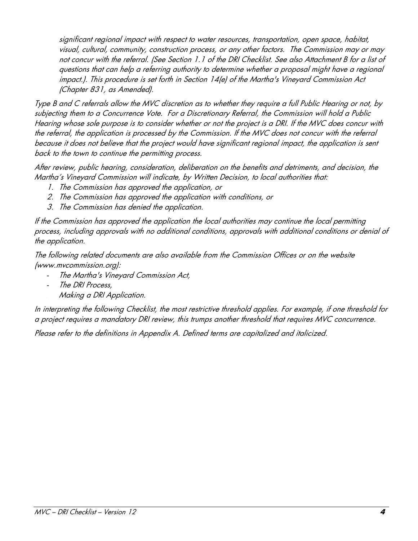significant regional impact with respect to water resources, transportation, open space, habitat, visual, cultural, community, construction process, or any other factors. The Commission may or may not concur with the referral. (See Section 1.1 of the DRI Checklist. See also Attachment B for a list of questions that can help a referring authority to determine whether a proposal might have a regional impact.). This procedure is set forth in Section 14(e) of the Martha's Vineyard Commission Act (Chapter 831, as Amended).

Type B and C referrals allow the MVC discretion as to whether they require a full Public Hearing or not, by subjecting them to a Concurrence Vote. For a Discretionary Referral, the Commission will hold a Public Hearing whose sole purpose is to consider whether or not the project is a DRI. If the MVC does concur with the referral, the application is processed by the Commission. If the MVC does not concur with the referral because it does not believe that the project would have significant regional impact, the application is sent back to the town to continue the permitting process.

After review, public hearing, consideration, deliberation on the benefits and detriments, and decision, the Martha's Vineyard Commission will indicate, by Written Decision, to local authorities that:

- 1. The Commission has approved the application, or
- 2. The Commission has approved the application with conditions, or
- 3. The Commission has denied the application.

If the Commission has approved the application the local authorities may continue the local permitting process, including approvals with no additional conditions, approvals with additional conditions or denial of the application.

The following related documents are also available from the Commission Offices or on the website (www.mvcommission.org):

- The Martha's Vineyard Commission Act,
- The DRI Process,
- Making a DRI Application.

In interpreting the following Checklist, the most restrictive threshold applies. For example, if one threshold for a project requires a mandatory DRI review, this trumps another threshold that requires MVC concurrence.

Please refer to the definitions in Appendix A. Defined terms are capitalized and italicized.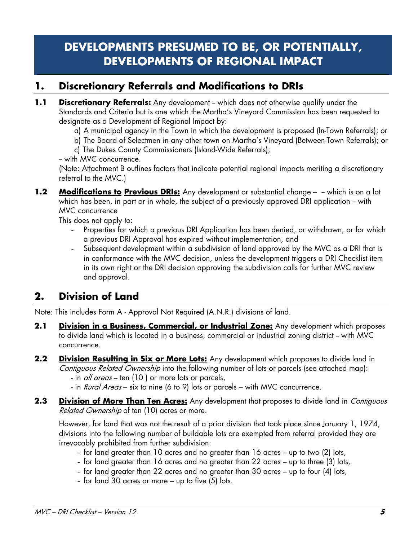## **DEVELOPMENTS PRESUMED TO BE, OR POTENTIALLY, DEVELOPMENTS OF REGIONAL IMPACT**

## **1. Discretionary Referrals and Modifications to DRIs**

- **1.1 Discretionary Referrals:** Any development which does not otherwise qualify under the Standards and Criteria but is one which the Martha's Vineyard Commission has been requested to designate as a Development of Regional Impact by:
	- a) A municipal agency in the Town in which the development is proposed (In-Town Referrals); or
	- b) The Board of Selectmen in any other town on Martha's Vineyard (Between-Town Referrals); or
	- c) The Dukes County Commissioners (Island-Wide Referrals);

-- with MVC concurrence.

(Note: Attachment B outlines factors that indicate potential regional impacts meriting a discretionary referral to the MVC.)

**1.2 Modifications to Previous DRIs:** Any development or substantial change – - which is on a lot which has been, in part or in whole, the subject of a previously approved DRI application -- with MVC concurrence

This does not apply to:

- Properties for which a previous DRI Application has been denied, or withdrawn, or for which a previous DRI Approval has expired without implementation, and
- Subsequent development within a subdivision of land approved by the MVC as a DRI that is in conformance with the MVC decision, unless the development triggers a DRI Checklist item in its own right or the DRI decision approving the subdivision calls for further MVC review and approval.

## **2. Division of Land**

Note: This includes Form A - Approval Not Required (A.N.R.) divisions of land.

- **2.1 Division in a Business, Commercial, or Industrial Zone:** Any development which proposes to divide land which is located in a business, commercial or industrial zoning district - with MVC concurrence.
- **2.2 Division Resulting in Six or More Lots:** Any development which proposes to divide land in Contiguous Related Ownership into the following number of lots or parcels (see attached map):
	- in *all areas* ten (10) or more lots or parcels,
	- in Rural Areas six to nine (6 to 9) lots or parcels with MVC concurrence.
- **2.3** Division of More Than Ten Acres: Any development that proposes to divide land in *Contiguous* Related Ownership of ten (10) acres or more.

However, for land that was not the result of a prior division that took place since January 1, 1974, divisions into the following number of buildable lots are exempted from referral provided they are irrevocably prohibited from further subdivision:

- for land greater than 10 acres and no greater than 16 acres up to two (2) lots,
- for land greater than 16 acres and no greater than 22 acres up to three (3) lots,
- for land greater than 22 acres and no greater than 30 acres up to four (4) lots,
- for land 30 acres or more up to five (5) lots.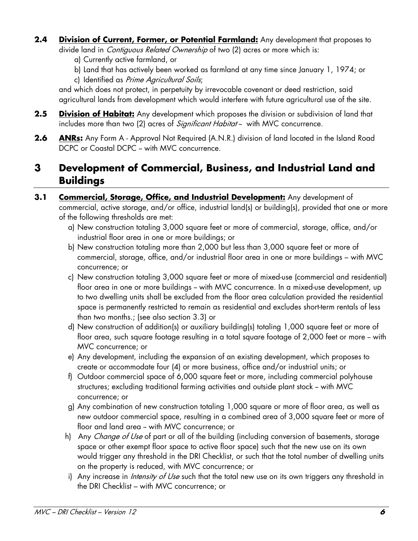**2.4 Division of Current, Former, or Potential Farmland:** Any development that proposes to divide land in *Contiguous Related Ownership* of two (2) acres or more which is:

a) Currently active farmland, or

b) Land that has actively been worked as farmland at any time since January 1, 1974; or

c) Identified as Prime Agricultural Soils;

and which does not protect, in perpetuity by irrevocable covenant or deed restriction, said agricultural lands from development which would interfere with future agricultural use of the site.

- **2.5 Division of Habitat:** Any development which proposes the division or subdivision of land that includes more than two (2) acres of *Significant Habitat* - with MVC concurrence.
- **2.6 ANRs:** Any Form A Approval Not Required (A.N.R.) division of land located in the Island Road DCPC or Coastal DCPC -- with MVC concurrence.

## **3 Development of Commercial, Business, and Industrial Land and Buildings**

#### **3.1 Commercial, Storage, Office, and Industrial Development:** Any development of commercial, active storage, and/or office, industrial land(s) or building(s), provided that one or more of the following thresholds are met:

- a) New construction totaling 3,000 square feet or more of commercial, storage, office, and/or industrial floor area in one or more buildings; or
- b) New construction totaling more than 2,000 but less than 3,000 square feet or more of commercial, storage, office, and/or industrial floor area in one or more buildings – with MVC concurrence; or
- c) New construction totaling 3,000 square feet or more of mixed-use (commercial and residential) floor area in one or more buildings - with MVC concurrence. In a mixed-use development, up to two dwelling units shall be excluded from the floor area calculation provided the residential space is permanently restricted to remain as residential and excludes short-term rentals of less than two months.; (see also section 3.3) or
- d) New construction of addition(s) or auxiliary building(s) totaling 1,000 square feet or more of floor area, such square footage resulting in a total square footage of 2,000 feet or more -- with MVC concurrence; or
- e) Any development, including the expansion of an existing development, which proposes to create or accommodate four (4) or more business, office and/or industrial units; or
- f) Outdoor commercial space of 6,000 square feet or more, including commercial polyhouse structures; excluding traditional farming activities and outside plant stock - with MVC concurrence; or
- g) Any combination of new construction totaling 1,000 square or more of floor area, as well as new outdoor commercial space, resulting in a combined area of 3,000 square feet or more of floor and land area - with MVC concurrence; or
- h) Any *Change of Use* of part or all of the building (including conversion of basements, storage space or other exempt floor space to active floor space) such that the new use on its own would trigger any threshold in the DRI Checklist, or such that the total number of dwelling units on the property is reduced, with MVC concurrence; or
- i) Any increase in *Intensity of Use* such that the total new use on its own triggers any threshold in the DRI Checklist – with MVC concurrence; or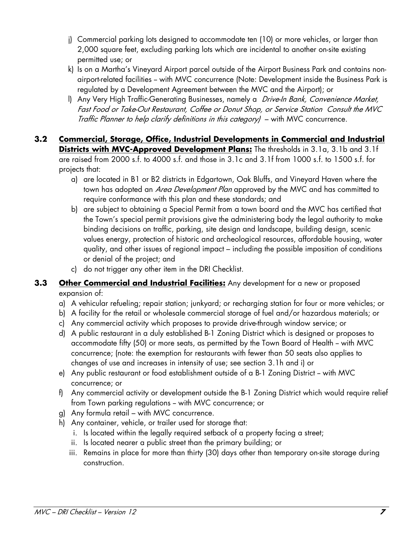- j) Commercial parking lots designed to accommodate ten (10) or more vehicles, or larger than 2,000 square feet, excluding parking lots which are incidental to another on-site existing permitted use; or
- k) Is on a Martha's Vineyard Airport parcel outside of the Airport Business Park and contains nonairport-related facilities -- with MVC concurrence (Note: Development inside the Business Park is regulated by a Development Agreement between the MVC and the Airport); or
- l) Any Very High Traffic-Generating Businesses, namely a *Drive-In Bank, Convenience Market*, Fast Food or Take-Out Restaurant, Coffee or Donut Shop, or Service Station Consult the MVC Traffic Planner to help clarify definitions in this category) – with MVC concurrence.
- **3.2 Commercial, Storage, Office, Industrial Developments in Commercial and Industrial Districts with MVC-Approved Development Plans:** The thresholds in 3.1a, 3.1b and 3.1f are raised from 2000 s.f. to 4000 s.f. and those in 3.1c and 3.1f from 1000 s.f. to 1500 s.f. for projects that:
	- a) are located in B1 or B2 districts in Edgartown, Oak Bluffs, and Vineyard Haven where the town has adopted an *Area Development Plan* approved by the MVC and has committed to require conformance with this plan and these standards; and
	- b) are subject to obtaining a Special Permit from a town board and the MVC has certified that the Town's special permit provisions give the administering body the legal authority to make binding decisions on traffic, parking, site design and landscape, building design, scenic values energy, protection of historic and archeological resources, affordable housing, water quality, and other issues of regional impact – including the possible imposition of conditions or denial of the project; and
	- c) do not trigger any other item in the DRI Checklist.
- **3.3 Other Commercial and Industrial Facilities:** Any development for a new or proposed expansion of:
	- a) A vehicular refueling; repair station; junkyard; or recharging station for four or more vehicles; or
	- b) A facility for the retail or wholesale commercial storage of fuel and/or hazardous materials; or
	- c) Any commercial activity which proposes to provide drive-through window service; or
	- d) A public restaurant in a duly established B-1 Zoning District which is designed or proposes to accommodate fifty (50) or more seats, as permitted by the Town Board of Health – with MVC concurrence; (note: the exemption for restaurants with fewer than 50 seats also applies to changes of use and increases in intensity of use; see section 3.1h and i) or
	- e) Any public restaurant or food establishment outside of a B-1 Zoning District -- with MVC concurrence; or
	- f) Any commercial activity or development outside the B-1 Zoning District which would require relief from Town parking regulations - with MVC concurrence; or
	- g) Any formula retail with MVC concurrence.
	- h) Any container, vehicle, or trailer used for storage that:
		- i. Is located within the legally required setback of a property facing a street;
		- ii. Is located nearer a public street than the primary building; or
		- iii. Remains in place for more than thirty (30) days other than temporary on-site storage during construction.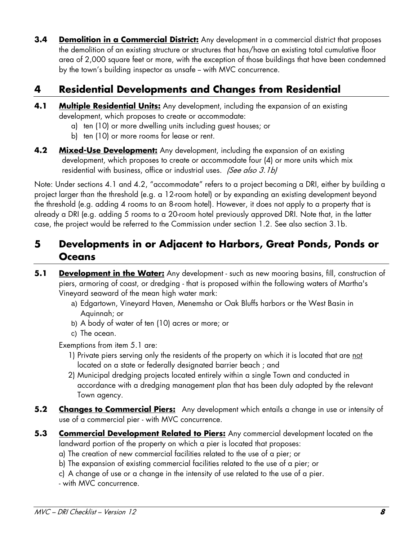**3.4 Demolition in a Commercial District:** Any development in a commercial district that proposes the demolition of an existing structure or structures that has/have an existing total cumulative floor area of 2,000 square feet or more, with the exception of those buildings that have been condemned by the town's building inspector as unsafe – with MVC concurrence.

## **4 Residential Developments and Changes from Residential**

- **4.1 Multiple Residential Units:** Any development, including the expansion of an existing development, which proposes to create or accommodate:
	- a) ten (10) or more dwelling units including guest houses; or
	- b) ten (10) or more rooms for lease or rent.
- **4.2 Mixed-Use Development:** Any development, including the expansion of an existing development, which proposes to create or accommodate four (4) or more units which mix residential with business, office or industrial uses. (See also 3.1b)

Note: Under sections 4.1 and 4.2, "accommodate" refers to a project becoming a DRI, either by building a project larger than the threshold (e.g. a 12-room hotel) or by expanding an existing development beyond the threshold (e.g. adding 4 rooms to an 8-room hotel). However, it does not apply to a property that is already a DRI (e.g. adding 5 rooms to a 20-room hotel previously approved DRI. Note that, in the latter case, the project would be referred to the Commission under section 1.2. See also section 3.1b.

## **5 Developments in or Adjacent to Harbors, Great Ponds, Ponds or Oceans**

- **5.1 Development in the Water:** Any development such as new mooring basins, fill, construction of piers, armoring of coast, or dredging - that is proposed within the following waters of Martha's Vineyard seaward of the mean high water mark:
	- a) Edgartown, Vineyard Haven, Menemsha or Oak Bluffs harbors or the West Basin in Aquinnah; or
	- b) A body of water of ten (10) acres or more; or
	- c) The ocean.

Exemptions from item 5.1 are:

- 1) Private piers serving only the residents of the property on which it is located that are not located on a state or federally designated barrier beach ; and
- 2) Municipal dredging projects located entirely within a single Town and conducted in accordance with a dredging management plan that has been duly adopted by the relevant Town agency.
- **5.2** Changes to Commercial Piers: Any development which entails a change in use or intensity of use of a commercial pier - with MVC concurrence.
- **5.3 Commercial Development Related to Piers:** Any commercial development located on the landward portion of the property on which a pier is located that proposes:
	- a) The creation of new commercial facilities related to the use of a pier; or
	- b) The expansion of existing commercial facilities related to the use of a pier; or
	- c) A change of use or a change in the intensity of use related to the use of a pier.
	- with MVC concurrence.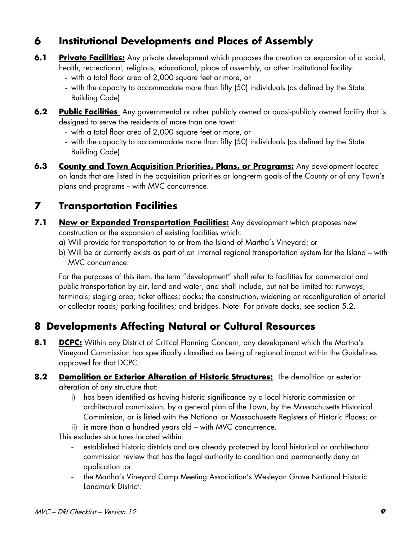## **6 Institutional Developments and Places of Assembly**

- **6.1** Private Facilities: Any private development which proposes the creation or expansion of a social, health, recreational, religious, educational, place of assembly, or other institutional facility:
	- with a total floor area of 2,000 square feet or more, or
	- with the capacity to accommodate more than fifty (50) individuals (as defined by the State Building Code).
- **6.2** Public Facilities: Any governmental or other publicly owned or quasi-publicly owned facility that is designed to serve the residents of more than one town:
	- with a total floor area of 2,000 square feet or more, or
	- with the capacity to accommodate more than fifty (50) individuals (as defined by the State Building Code).
- **6.3 County and Town Acquisition Priorities, Plans, or Programs:** Any development located on lands that are listed in the acquisition priorities or long-term goals of the County or of any Town's plans and programs - with MVC concurrence.

## **7 Transportation Facilities**

- **7.1 New or Expanded Transportation Facilities:** Any development which proposes new construction or the expansion of existing facilities which:
	- a) Will provide for transportation to or from the Island of Martha's Vineyard; or
	- b) Will be or currently exists as part of an internal regional transportation system for the Island with MVC concurrence.

For the purposes of this item, the term "development" shall refer to facilities for commercial and public transportation by air, land and water, and shall include, but not be limited to: runways; terminals; staging area; ticket offices; docks; the construction, widening or reconfiguration of arterial or collector roads; parking facilities; and bridges. Note: For private docks, see section 5.2.

## **8 Developments Affecting Natural or Cultural Resources**

**8.1 DCPC:** Within any District of Critical Planning Concern, any development which the Martha's Vineyard Commission has specifically classified as being of regional impact within the Guidelines approved for that DCPC.

#### 8.2 Demolition or Exterior Alteration of Historic Structures: The demolition or exterior alteration of any structure that:

- i) has been identified as having historic significance by a local historic commission or architectural commission, by a general plan of the Town, by the Massachusetts Historical Commission, or is listed with the National or Massachusetts Registers of Historic Places; or
- ii) is more than a hundred years old with MVC concurrence.

This excludes structures located within:

- established historic districts and are already protected by local historical or architectural commission review that has the legal authority to condition and permanently deny an application .or
- the Martha's Vineyard Camp Meeting Association's Wesleyan Grove National Historic Landmark District.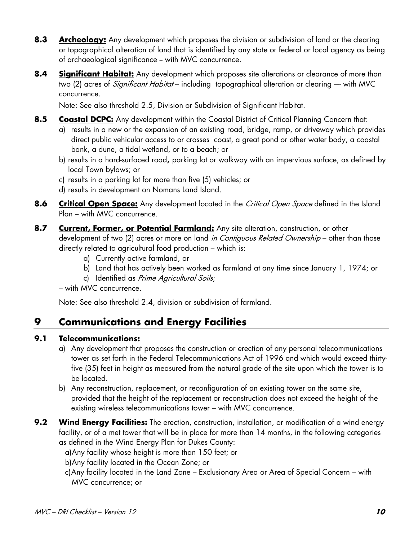- **8.3 Archeology:** Any development which proposes the division or subdivision of land or the clearing or topographical alteration of land that is identified by any state or federal or local agency as being of archaeological significance - with MVC concurrence.
- **8.4** Significant Habitat: Any development which proposes site alterations or clearance of more than two (2) acres of *Significant Habitat* – including topographical alteration or clearing – with MVC concurrence.

Note: See also threshold 2.5, Division or Subdivision of Significant Habitat.

- **8.5 Coastal DCPC:** Any development within the Coastal District of Critical Planning Concern that:
	- a) results in a new or the expansion of an existing road, bridge, ramp, or driveway which provides direct public vehicular access to or crosses coast, a great pond or other water body, a coastal bank, a dune, a tidal wetland, or to a beach; or
	- b) results in a hard-surfaced road**,** parking lot or walkway with an impervious surface, as defined by local Town bylaws; or
	- c) results in a parking lot for more than five (5) vehicles; or
	- d) results in development on Nomans Land Island.
- **8.6 Critical Open Space:** Any development located in the *Critical Open Space* defined in the Island Plan – with MVC concurrence.
- **8.7 Current, Former, or Potential Farmland:** Any site alteration, construction, or other development of two (2) acres or more on land in Contiguous Related Ownership - other than those directly related to agricultural food production – which is:
	- a) Currently active farmland, or
	- b) Land that has actively been worked as farmland at any time since January 1, 1974; or
	- c) Identified as Prime Agricultural Soils;
	- with MVC concurrence.

Note: See also threshold 2.4, division or subdivision of farmland.

## **9 Communications and Energy Facilities**

#### **9.1 Telecommunications:**

- a) Any development that proposes the construction or erection of any personal telecommunications tower as set forth in the Federal Telecommunications Act of 1996 and which would exceed thirtyfive (35) feet in height as measured from the natural grade of the site upon which the tower is to be located.
- b) Any reconstruction, replacement, or reconfiguration of an existing tower on the same site, provided that the height of the replacement or reconstruction does not exceed the height of the existing wireless telecommunications tower – with MVC concurrence.
- **9.2 Wind Energy Facilities:** The erection, construction, installation, or modification of a wind energy facility, or of a met tower that will be in place for more than 14 months, in the following categories as defined in the Wind Energy Plan for Dukes County:

a)Any facility whose height is more than 150 feet; or

- b)Any facility located in the Ocean Zone; or
- c)Any facility located in the Land Zone Exclusionary Area or Area of Special Concern with MVC concurrence; or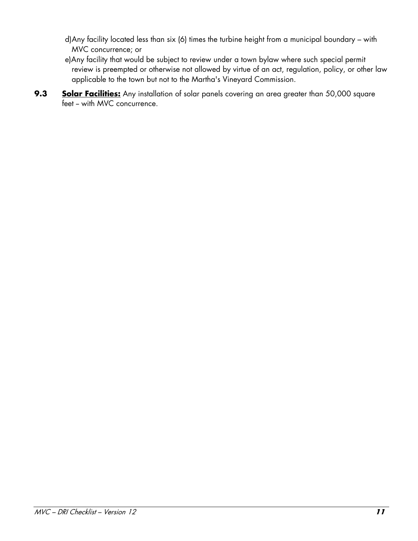- d)Any facility located less than six (6) times the turbine height from a municipal boundary with MVC concurrence; or
- e)Any facility that would be subject to review under a town bylaw where such special permit review is preempted or otherwise not allowed by virtue of an act, regulation, policy, or other law applicable to the town but not to the Martha's Vineyard Commission.
- **9.3** Solar Facilities: Any installation of solar panels covering an area greater than 50,000 square feet - with MVC concurrence.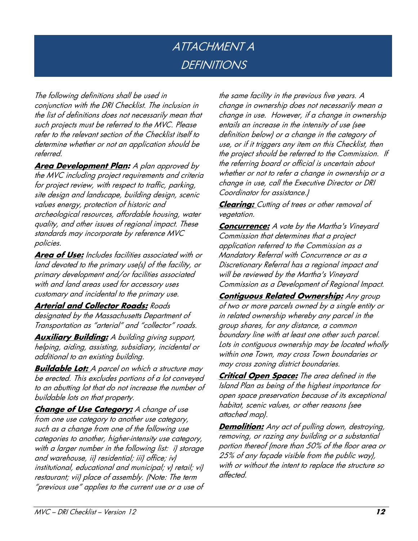## ATTACHMENT A **DEFINITIONS**

The following definitions shall be used in conjunction with the DRI Checklist. The inclusion in the list of definitions does not necessarily mean that such projects must be referred to the MVC. Please refer to the relevant section of the Checklist itself to determine whether or not an application should be referred.

**Area Development Plan:** A plan approved by the MVC including project requirements and criteria for project review, with respect to traffic, parking, site design and landscape, building design, scenic values energy, protection of historic and archeological resources, affordable housing, water quality, and other issues of regional impact. These standards may incorporate by reference MVC policies.

**Area of Use:** Includes facilities associated with or land devoted to the primary use(s) of the facility, or primary development and/or facilities associated with and land areas used for accessory uses customary and incidental to the primary use.

#### **Arterial and Collector Roads:** Roads

designated by the Massachusetts Department of Transportation as "arterial" and "collector" roads.

**Auxiliary Building:** A building giving support, helping, aiding, assisting, subsidiary, incidental or additional to an existing building.

**Buildable Lot:** A parcel on which a structure may be erected. This excludes portions of a lot conveyed to an abutting lot that do not increase the number of buildable lots on that property.

**Change of Use Category:** A change of use from one use category to another use category, such as a change from one of the following use categories to another, higher-intensity use category, with a larger number in the following list: i) storage and warehouse, ii) residential; iii) office; iv) institutional, educational and municipal; v) retail; vi) restaurant; vii) place of assembly. (Note: The term "previous use" applies to the current use or a use of the same facility in the previous five years. A change in ownership does not necessarily mean a change in use. However, if a change in ownership entails an increase in the intensity of use (see definition below) or a change in the category of use, or if it triggers any item on this Checklist, then the project should be referred to the Commission. If the referring board or official is uncertain about whether or not to refer a change in ownership or a change in use, call the Executive Director or DRI Coordinator for assistance.)

**Clearing:** Cutting of trees or other removal of vegetation.

**Concurrence:** A vote by the Martha's Vineyard Commission that determines that a project application referred to the Commission as a Mandatory Referral with Concurrence or as a Discretionary Referral has a regional impact and will be reviewed by the Martha's Vineyard Commission as a Development of Regional Impact.

**Contiguous Related Ownership: Any group** of two or more parcels owned by a single entity or in related ownership whereby any parcel in the group shares, for any distance, a common boundary line with at least one other such parcel. Lots in contiguous ownership may be located wholly within one Town, may cross Town boundaries or may cross zoning district boundaries.

**Critical Open Space:** The area defined in the Island Plan as being of the highest importance for open space preservation because of its exceptional habitat, scenic values, or other reasons (see attached map).

**Demolition:** Any act of pulling down, destroying, removing, or razing any building or a substantial portion thereof (more than 50% of the floor area or 25% of any façade visible from the public way), with or without the intent to replace the structure so affected.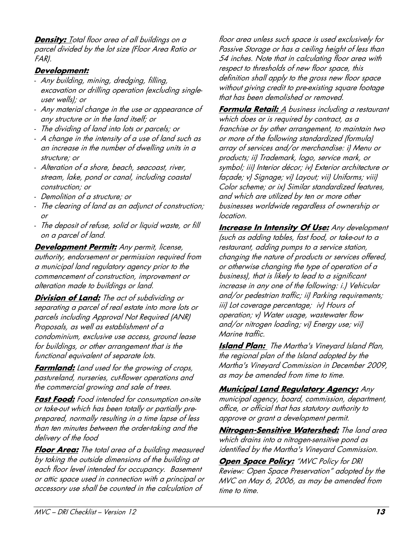**Density:** Total floor area of all buildings on a parcel divided by the lot size (Floor Area Ratio or FAR).

#### **Development:**

- Any building, mining, dredging, filling, excavation or drilling operation (excluding singleuser wells); or
- Any material change in the use or appearance of any structure or in the land itself; or
- The dividing of land into lots or parcels; or
- A change in the intensity of a use of land such as an increase in the number of dwelling units in a structure; or
- Alteration of a shore, beach, seacoast, river, stream, lake, pond or canal, including coastal construction; or
- Demolition of a structure; or
- The clearing of land as an adjunct of construction; or
- The deposit of refuse, solid or liquid waste, or fill on a parcel of land.

**Development Permit:** Any permit, license, authority, endorsement or permission required from a municipal land regulatory agency prior to the commencement of construction, improvement or alteration made to buildings or land.

**Division of Land:** The act of subdividing or separating a parcel of real estate into more lots or parcels including Approval Not Required (ANR) Proposals, as well as establishment of a condominium, exclusive use access, ground lease for buildings, or other arrangement that is the functional equivalent of separate lots.

**Farmland:** Land used for the growing of crops, pastureland, nurseries, cut-flower operations and the commercial growing and sale of trees.

**Fast Food:** Food intended for consumption on-site or take-out which has been totally or partially preprepared, normally resulting in a time lapse of less than ten minutes between the order-taking and the delivery of the food

**Floor Area:** The total area of a building measured by taking the outside dimensions of the building at each floor level intended for occupancy. Basement or attic space used in connection with a principal or accessory use shall be counted in the calculation of

floor area unless such space is used exclusively for Passive Storage or has a ceiling height of less than 54 inches. Note that in calculating floor area with respect to thresholds of new floor space, this definition shall apply to the gross new floor space without giving credit to pre-existing square footage that has been demolished or removed.

**Formula Retail:** A business including a restaurant which does or is required by contract, as a franchise or by other arrangement, to maintain two or more of the following standardized (formula) array of services and/or merchandise: i) Menu or products; ii) Trademark, logo, service mark, or symbol; iii) Interior décor; iv) Exterior architecture or façade; v) Signage; vi) Layout; vii) Uniforms; viii) Color scheme; or ix) Similar standardized features, and which are utilized by ten or more other businesses worldwide regardless of ownership or location.

**Increase In Intensity Of Use:** Any development (such as adding tables, fast food, or take-out to a restaurant, adding pumps to a service station, changing the nature of products or services offered, or otherwise changing the type of operation of a business), that is likely to lead to a significant increase in any one of the following: i.) Vehicular and/or pedestrian traffic; ii) Parking requirements; iii) Lot coverage percentage; iv) Hours of operation; v) Water usage, wastewater flow and/or nitrogen loading; vi) Energy use; vii) Marine traffic.

**Island Plan:** The Martha's Vineyard Island Plan, the regional plan of the Island adopted by the Martha's Vineyard Commission in December 2009, as may be amended from time to time.

**Municipal Land Regulatory Agency:** Any municipal agency, board, commission, department, office, or official that has statutory authority to approve or grant a development permit.

**Nitrogen-Sensitive Watershed:** The land area which drains into a nitrogen-sensitive pond as identified by the Martha's Vineyard Commission.

**Open Space Policy:** "MVC Policy for DRI Review: Open Space Preservation" adopted by the MVC on May 6, 2006, as may be amended from time to time.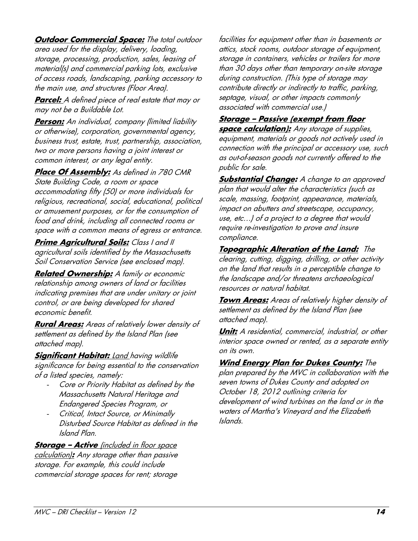**Outdoor Commercial Space:** The total outdoor area used for the display, delivery, loading, storage, processing, production, sales, leasing of material(s) and commercial parking lots, exclusive of access roads, landscaping, parking accessory to the main use, and structures (Floor Area).

**Parcel:** A defined piece of real estate that may or may not be a Buildable Lot.

**Person:** An individual, company (limited liability or otherwise), corporation, governmental agency, business trust, estate, trust, partnership, association, two or more persons having a joint interest or common interest, or any legal entity.

**Place Of Assembly:** As defined in 780 CMR State Building Code, a room or space accommodating fifty (50) or more individuals for religious, recreational, social, educational, political or amusement purposes, or for the consumption of food and drink, including all connected rooms or space with a common means of egress or entrance.

**Prime Agricultural Soils:** Class I and II agricultural soils identified by the Massachusetts Soil Conservation Service (see enclosed map).

**Related Ownership:** A family or economic relationship among owners of land or facilities indicating premises that are under unitary or joint control, or are being developed for shared economic benefit.

**Rural Areas:** Areas of relatively lower density of settlement as defined by the Island Plan (see attached map).

**Significant Habitat: Land having wildlife** significance for being essential to the conservation of a listed species, namely:

- Core or Priority Habitat as defined by the Massachusetts Natural Heritage and Endangered Species Program, or
- Critical, Intact Source, or Minimally Disturbed Source Habitat as defined in the Island Plan.

**Storage - Active** (included in floor space calculation)**:** Any storage other than passive storage. For example, this could include commercial storage spaces for rent; storage

facilities for equipment other than in basements or attics, stock rooms, outdoor storage of equipment, storage in containers, vehicles or trailers for more than 30 days other than temporary on-site storage during construction. (This type of storage may contribute directly or indirectly to traffic, parking, septage, visual, or other impacts commonly associated with commercial use.)

#### **Storage – Passive (exempt from floor**

**space calculation):** Any storage of supplies, equipment, materials or goods not actively used in connection with the principal or accessory use, such as out-of-season goods not currently offered to the public for sale.

**Substantial Change:** A change to an approved plan that would alter the characteristics (such as scale, massing, footprint, appearance, materials, impact on abutters and streetscape, occupancy, use, etc…) of a project to a degree that would require re-investigation to prove and insure compliance.

**Topographic Alteration of the Land:** The clearing, cutting, digging, drilling, or other activity on the land that results in a perceptible change to the landscape and/or threatens archaeological resources or natural habitat.

**Town Areas:** Areas of relatively higher density of settlement as defined by the Island Plan (see attached map).

**Unit:** A residential, commercial, industrial, or other interior space owned or rented, as a separate entity on its own.

#### **Wind Energy Plan for Dukes County:** The

plan prepared by the MVC in collaboration with the seven towns of Dukes County and adopted on October 18, 2012 outlining criteria for development of wind turbines on the land or in the waters of Martha's Vineyard and the Elizabeth Islands.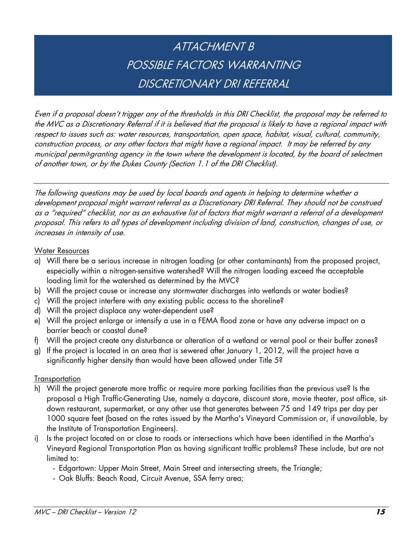# ATTACHMENT B POSSIBLE FACTORS WARRANTING DISCRETIONARY DRI REFERRAL

Even if a proposal doesn't trigger any of the thresholds in this DRI Checklist, the proposal may be referred to the MVC as a Discretionary Referral if it is believed that the proposal is likely to have a regional impact with respect to issues such as: water resources, transportation, open space, habitat, visual, cultural, community, construction process, or any other factors that might have a regional impact. It may be referred by any municipal permit-granting agency in the town where the development is located, by the board of selectmen of another town, or by the Dukes County (Section 1.1 of the DRI Checklist).

The following questions may be used by local boards and agents in helping to determine whether a development proposal might warrant referral as a Discretionary DRI Referral. They should not be construed as a "required" checklist, nor as an exhaustive list of factors that might warrant a referral of a development proposal. This refers to all types of development including division of land, construction, changes of use, or increases in intensity of use.

#### Water Resources

- a) Will there be a serious increase in nitrogen loading (or other contaminants) from the proposed project, especially within a nitrogen-sensitive watershed? Will the nitrogen loading exceed the acceptable loading limit for the watershed as determined by the MVC?
- b) Will the project cause or increase any stormwater discharges into wetlands or water bodies?
- c) Will the project interfere with any existing public access to the shoreline?
- d) Will the project displace any water-dependent use?
- e) Will the project enlarge or intensify a use in a FEMA flood zone or have any adverse impact on a barrier beach or coastal dune?
- f) Will the project create any disturbance or alteration of a wetland or vernal pool or their buffer zones?
- g) If the project is located in an area that is sewered after January 1, 2012, will the project have a significantly higher density than would have been allowed under Title 5?

#### **Transportation**

- h) Will the project generate more traffic or require more parking facilities than the previous use? Is the proposal a High Traffic-Generating Use, namely a daycare, discount store, movie theater, post office, sitdown restaurant, supermarket, or any other use that generates between 75 and 149 trips per day per 1000 square feet (based on the rates issued by the Martha's Vineyard Commission or, if unavailable, by the Institute of Transportation Engineers).
- i) Is the project located on or close to roads or intersections which have been identified in the Martha's Vineyard Regional Transportation Plan as having significant traffic problems? These include, but are not limited to:
	- Edgartown: Upper Main Street, Main Street and intersecting streets, the Triangle;
	- Oak Bluffs: Beach Road, Circuit Avenue, SSA ferry area;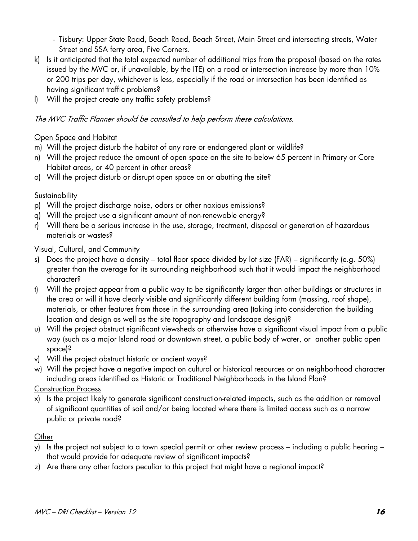- Tisbury: Upper State Road, Beach Road, Beach Street, Main Street and intersecting streets, Water Street and SSA ferry area, Five Corners.

- k) Is it anticipated that the total expected number of additional trips from the proposal (based on the rates issued by the MVC or, if unavailable, by the ITE) on a road or intersection increase by more than 10% or 200 trips per day, whichever is less, especially if the road or intersection has been identified as having significant traffic problems?
- l) Will the project create any traffic safety problems?

#### The MVC Traffic Planner should be consulted to help perform these calculations.

#### Open Space and Habitat

- m) Will the project disturb the habitat of any rare or endangered plant or wildlife?
- n) Will the project reduce the amount of open space on the site to below 65 percent in Primary or Core Habitat areas, or 40 percent in other areas?
- o) Will the project disturb or disrupt open space on or abutting the site?

#### **Sustainability**

- p) Will the project discharge noise, odors or other noxious emissions?
- q) Will the project use a significant amount of non-renewable energy?
- r) Will there be a serious increase in the use, storage, treatment, disposal or generation of hazardous materials or wastes?

#### Visual, Cultural, and Community

- s) Does the project have a density total floor space divided by lot size (FAR) significantly (e.g. 50%) greater than the average for its surrounding neighborhood such that it would impact the neighborhood character?
- t) Will the project appear from a public way to be significantly larger than other buildings or structures in the area or will it have clearly visible and significantly different building form (massing, roof shape), materials, or other features from those in the surrounding area (taking into consideration the building location and design as well as the site topography and landscape design)?
- u) Will the project obstruct significant viewsheds or otherwise have a significant visual impact from a public way (such as a major Island road or downtown street, a public body of water, or another public open space)?
- v) Will the project obstruct historic or ancient ways?
- w) Will the project have a negative impact on cultural or historical resources or on neighborhood character including areas identified as Historic or Traditional Neighborhoods in the Island Plan?

Construction Process

x) Is the project likely to generate significant construction-related impacts, such as the addition or removal of significant quantities of soil and/or being located where there is limited access such as a narrow public or private road?

#### **Other**

- y) Is the project not subject to a town special permit or other review process including a public hearing that would provide for adequate review of significant impacts?
- z) Are there any other factors peculiar to this project that might have a regional impact?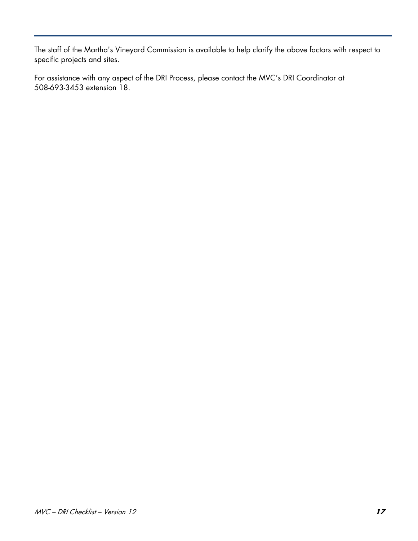The staff of the Martha's Vineyard Commission is available to help clarify the above factors with respect to specific projects and sites.

For assistance with any aspect of the DRI Process, please contact the MVC's DRI Coordinator at 508-693-3453 extension 18.